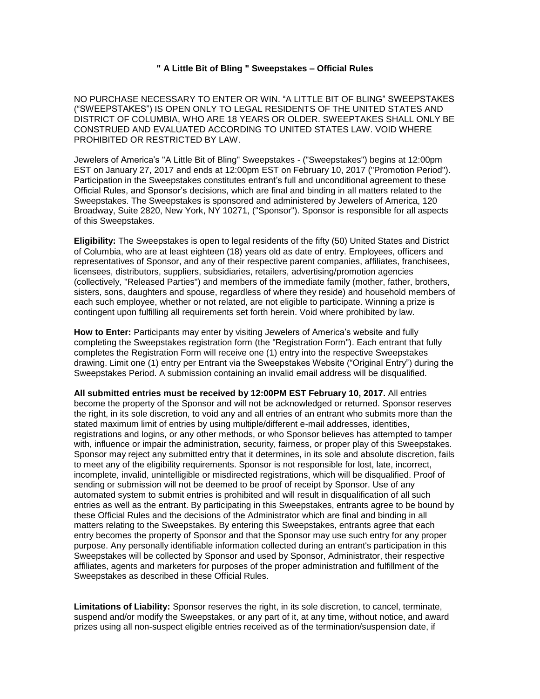## **" A Little Bit of Bling " Sweepstakes – Official Rules**

NO PURCHASE NECESSARY TO ENTER OR WIN. "A LITTLE BIT OF BLING" SWEEPSTAKES ("SWEEPSTAKES") IS OPEN ONLY TO LEGAL RESIDENTS OF THE UNITED STATES AND DISTRICT OF COLUMBIA, WHO ARE 18 YEARS OR OLDER. SWEEPTAKES SHALL ONLY BE CONSTRUED AND EVALUATED ACCORDING TO UNITED STATES LAW. VOID WHERE PROHIBITED OR RESTRICTED BY LAW.

Jewelers of America's "A Little Bit of Bling" Sweepstakes - ("Sweepstakes") begins at 12:00pm EST on January 27, 2017 and ends at 12:00pm EST on February 10, 2017 ("Promotion Period"). Participation in the Sweepstakes constitutes entrant's full and unconditional agreement to these Official Rules, and Sponsor's decisions, which are final and binding in all matters related to the Sweepstakes. The Sweepstakes is sponsored and administered by Jewelers of America, 120 Broadway, Suite 2820, New York, NY 10271, ("Sponsor"). Sponsor is responsible for all aspects of this Sweepstakes.

**Eligibility:** The Sweepstakes is open to legal residents of the fifty (50) United States and District of Columbia, who are at least eighteen (18) years old as date of entry. Employees, officers and representatives of Sponsor, and any of their respective parent companies, affiliates, franchisees, licensees, distributors, suppliers, subsidiaries, retailers, advertising/promotion agencies (collectively, "Released Parties") and members of the immediate family (mother, father, brothers, sisters, sons, daughters and spouse, regardless of where they reside) and household members of each such employee, whether or not related, are not eligible to participate. Winning a prize is contingent upon fulfilling all requirements set forth herein. Void where prohibited by law.

**How to Enter:** Participants may enter by visiting Jewelers of America's website and fully completing the Sweepstakes registration form (the "Registration Form"). Each entrant that fully completes the Registration Form will receive one (1) entry into the respective Sweepstakes drawing. Limit one (1) entry per Entrant via the Sweepstakes Website ("Original Entry") during the Sweepstakes Period. A submission containing an invalid email address will be disqualified.

**All submitted entries must be received by 12:00PM EST February 10, 2017.** All entries become the property of the Sponsor and will not be acknowledged or returned. Sponsor reserves the right, in its sole discretion, to void any and all entries of an entrant who submits more than the stated maximum limit of entries by using multiple/different e-mail addresses, identities, registrations and logins, or any other methods, or who Sponsor believes has attempted to tamper with, influence or impair the administration, security, fairness, or proper play of this Sweepstakes. Sponsor may reject any submitted entry that it determines, in its sole and absolute discretion, fails to meet any of the eligibility requirements. Sponsor is not responsible for lost, late, incorrect, incomplete, invalid, unintelligible or misdirected registrations, which will be disqualified. Proof of sending or submission will not be deemed to be proof of receipt by Sponsor. Use of any automated system to submit entries is prohibited and will result in disqualification of all such entries as well as the entrant. By participating in this Sweepstakes, entrants agree to be bound by these Official Rules and the decisions of the Administrator which are final and binding in all matters relating to the Sweepstakes. By entering this Sweepstakes, entrants agree that each entry becomes the property of Sponsor and that the Sponsor may use such entry for any proper purpose. Any personally identifiable information collected during an entrant's participation in this Sweepstakes will be collected by Sponsor and used by Sponsor, Administrator, their respective affiliates, agents and marketers for purposes of the proper administration and fulfillment of the Sweepstakes as described in these Official Rules.

**Limitations of Liability:** Sponsor reserves the right, in its sole discretion, to cancel, terminate, suspend and/or modify the Sweepstakes, or any part of it, at any time, without notice, and award prizes using all non-suspect eligible entries received as of the termination/suspension date, if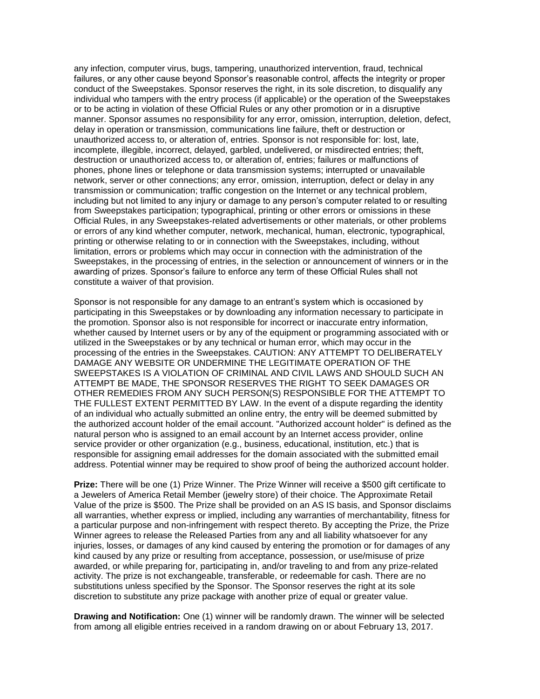any infection, computer virus, bugs, tampering, unauthorized intervention, fraud, technical failures, or any other cause beyond Sponsor's reasonable control, affects the integrity or proper conduct of the Sweepstakes. Sponsor reserves the right, in its sole discretion, to disqualify any individual who tampers with the entry process (if applicable) or the operation of the Sweepstakes or to be acting in violation of these Official Rules or any other promotion or in a disruptive manner. Sponsor assumes no responsibility for any error, omission, interruption, deletion, defect, delay in operation or transmission, communications line failure, theft or destruction or unauthorized access to, or alteration of, entries. Sponsor is not responsible for: lost, late, incomplete, illegible, incorrect, delayed, garbled, undelivered, or misdirected entries; theft, destruction or unauthorized access to, or alteration of, entries; failures or malfunctions of phones, phone lines or telephone or data transmission systems; interrupted or unavailable network, server or other connections; any error, omission, interruption, defect or delay in any transmission or communication; traffic congestion on the Internet or any technical problem, including but not limited to any injury or damage to any person's computer related to or resulting from Sweepstakes participation; typographical, printing or other errors or omissions in these Official Rules, in any Sweepstakes-related advertisements or other materials, or other problems or errors of any kind whether computer, network, mechanical, human, electronic, typographical, printing or otherwise relating to or in connection with the Sweepstakes, including, without limitation, errors or problems which may occur in connection with the administration of the Sweepstakes, in the processing of entries, in the selection or announcement of winners or in the awarding of prizes. Sponsor's failure to enforce any term of these Official Rules shall not constitute a waiver of that provision.

Sponsor is not responsible for any damage to an entrant's system which is occasioned by participating in this Sweepstakes or by downloading any information necessary to participate in the promotion. Sponsor also is not responsible for incorrect or inaccurate entry information, whether caused by Internet users or by any of the equipment or programming associated with or utilized in the Sweepstakes or by any technical or human error, which may occur in the processing of the entries in the Sweepstakes. CAUTION: ANY ATTEMPT TO DELIBERATELY DAMAGE ANY WEBSITE OR UNDERMINE THE LEGITIMATE OPERATION OF THE SWEEPSTAKES IS A VIOLATION OF CRIMINAL AND CIVIL LAWS AND SHOULD SUCH AN ATTEMPT BE MADE, THE SPONSOR RESERVES THE RIGHT TO SEEK DAMAGES OR OTHER REMEDIES FROM ANY SUCH PERSON(S) RESPONSIBLE FOR THE ATTEMPT TO THE FULLEST EXTENT PERMITTED BY LAW. In the event of a dispute regarding the identity of an individual who actually submitted an online entry, the entry will be deemed submitted by the authorized account holder of the email account. "Authorized account holder" is defined as the natural person who is assigned to an email account by an Internet access provider, online service provider or other organization (e.g., business, educational, institution, etc.) that is responsible for assigning email addresses for the domain associated with the submitted email address. Potential winner may be required to show proof of being the authorized account holder.

**Prize:** There will be one (1) Prize Winner. The Prize Winner will receive a \$500 gift certificate to a Jewelers of America Retail Member (jewelry store) of their choice. The Approximate Retail Value of the prize is \$500. The Prize shall be provided on an AS IS basis, and Sponsor disclaims all warranties, whether express or implied, including any warranties of merchantability, fitness for a particular purpose and non-infringement with respect thereto. By accepting the Prize, the Prize Winner agrees to release the Released Parties from any and all liability whatsoever for any injuries, losses, or damages of any kind caused by entering the promotion or for damages of any kind caused by any prize or resulting from acceptance, possession, or use/misuse of prize awarded, or while preparing for, participating in, and/or traveling to and from any prize-related activity. The prize is not exchangeable, transferable, or redeemable for cash. There are no substitutions unless specified by the Sponsor. The Sponsor reserves the right at its sole discretion to substitute any prize package with another prize of equal or greater value.

**Drawing and Notification:** One (1) winner will be randomly drawn. The winner will be selected from among all eligible entries received in a random drawing on or about February 13, 2017.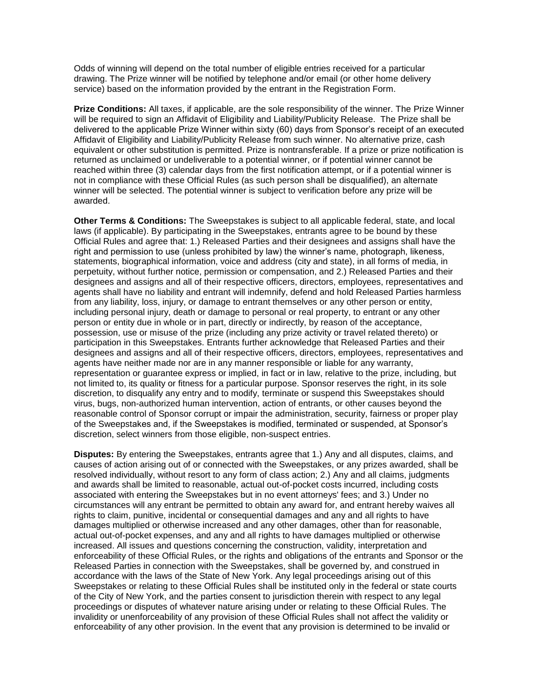Odds of winning will depend on the total number of eligible entries received for a particular drawing. The Prize winner will be notified by telephone and/or email (or other home delivery service) based on the information provided by the entrant in the Registration Form.

**Prize Conditions:** All taxes, if applicable, are the sole responsibility of the winner. The Prize Winner will be required to sign an Affidavit of Eligibility and Liability/Publicity Release. The Prize shall be delivered to the applicable Prize Winner within sixty (60) days from Sponsor's receipt of an executed Affidavit of Eligibility and Liability/Publicity Release from such winner. No alternative prize, cash equivalent or other substitution is permitted. Prize is nontransferable. If a prize or prize notification is returned as unclaimed or undeliverable to a potential winner, or if potential winner cannot be reached within three (3) calendar days from the first notification attempt, or if a potential winner is not in compliance with these Official Rules (as such person shall be disqualified), an alternate winner will be selected. The potential winner is subject to verification before any prize will be awarded.

**Other Terms & Conditions:** The Sweepstakes is subject to all applicable federal, state, and local laws (if applicable). By participating in the Sweepstakes, entrants agree to be bound by these Official Rules and agree that: 1.) Released Parties and their designees and assigns shall have the right and permission to use (unless prohibited by law) the winner's name, photograph, likeness, statements, biographical information, voice and address (city and state), in all forms of media, in perpetuity, without further notice, permission or compensation, and 2.) Released Parties and their designees and assigns and all of their respective officers, directors, employees, representatives and agents shall have no liability and entrant will indemnify, defend and hold Released Parties harmless from any liability, loss, injury, or damage to entrant themselves or any other person or entity, including personal injury, death or damage to personal or real property, to entrant or any other person or entity due in whole or in part, directly or indirectly, by reason of the acceptance, possession, use or misuse of the prize (including any prize activity or travel related thereto) or participation in this Sweepstakes. Entrants further acknowledge that Released Parties and their designees and assigns and all of their respective officers, directors, employees, representatives and agents have neither made nor are in any manner responsible or liable for any warranty, representation or guarantee express or implied, in fact or in law, relative to the prize, including, but not limited to, its quality or fitness for a particular purpose. Sponsor reserves the right, in its sole discretion, to disqualify any entry and to modify, terminate or suspend this Sweepstakes should virus, bugs, non-authorized human intervention, action of entrants, or other causes beyond the reasonable control of Sponsor corrupt or impair the administration, security, fairness or proper play of the Sweepstakes and, if the Sweepstakes is modified, terminated or suspended, at Sponsor's discretion, select winners from those eligible, non-suspect entries.

**Disputes:** By entering the Sweepstakes, entrants agree that 1.) Any and all disputes, claims, and causes of action arising out of or connected with the Sweepstakes, or any prizes awarded, shall be resolved individually, without resort to any form of class action; 2.) Any and all claims, judgments and awards shall be limited to reasonable, actual out-of-pocket costs incurred, including costs associated with entering the Sweepstakes but in no event attorneys' fees; and 3.) Under no circumstances will any entrant be permitted to obtain any award for, and entrant hereby waives all rights to claim, punitive, incidental or consequential damages and any and all rights to have damages multiplied or otherwise increased and any other damages, other than for reasonable, actual out-of-pocket expenses, and any and all rights to have damages multiplied or otherwise increased. All issues and questions concerning the construction, validity, interpretation and enforceability of these Official Rules, or the rights and obligations of the entrants and Sponsor or the Released Parties in connection with the Sweepstakes, shall be governed by, and construed in accordance with the laws of the State of New York. Any legal proceedings arising out of this Sweepstakes or relating to these Official Rules shall be instituted only in the federal or state courts of the City of New York, and the parties consent to jurisdiction therein with respect to any legal proceedings or disputes of whatever nature arising under or relating to these Official Rules. The invalidity or unenforceability of any provision of these Official Rules shall not affect the validity or enforceability of any other provision. In the event that any provision is determined to be invalid or